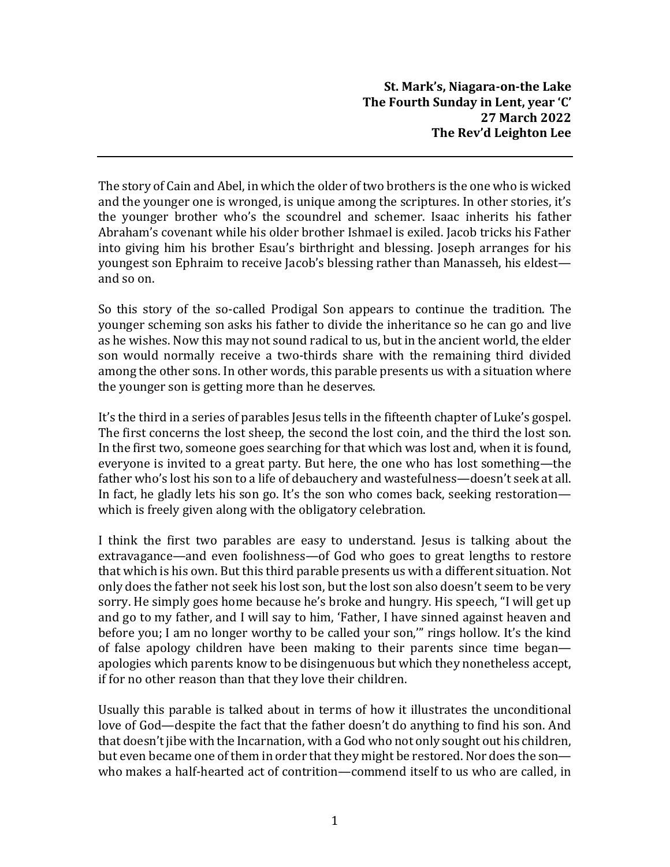The story of Cain and Abel, in which the older oftwo brothers is the one who is wicked and the younger one is wronged, is unique among the scriptures. In other stories, it's the younger brother who's the scoundrel and schemer. Isaac inherits his father Abraham's covenant while his older brother Ishmael is exiled. Jacob tricks his Father into giving him his brother Esau's birthright and blessing. Joseph arranges for his youngest son Ephraim to receive Jacob's blessing rather than Manasseh, his eldest and so on.

So this story of the so-called Prodigal Son appears to continue the tradition. The younger scheming son asks his father to divide the inheritance so he can go and live as he wishes. Now this may not sound radical to us, but in the ancient world, the elder son would normally receive a two-thirds share with the remaining third divided among the other sons. In other words, this parable presents us with a situation where the younger son is getting more than he deserves.

It's the third in a series of parables Jesus tells in the fifteenth chapter of Luke's gospel. The first concerns the lost sheep, the second the lost coin, and the third the lost son. In the first two, someone goes searching for that which was lost and, when it is found, everyone is invited to a great party. But here, the one who has lost something—the father who's lost his son to a life of debauchery and wastefulness—doesn't seek at all. In fact, he gladly lets his son go. It's the son who comes back, seeking restoration which is freely given along with the obligatory celebration.

I think the first two parables are easy to understand. Jesus is talking about the extravagance—and even foolishness—of God who goes to great lengths to restore that which is his own. But this third parable presents us with a different situation. Not only does the father not seek his lost son, but the lost son also doesn't seem to be very sorry. He simply goes home because he's broke and hungry. His speech, "I will get up and go to my father, and I will say to him, 'Father, I have sinned against heaven and before you; I am no longer worthy to be called your son,'" rings hollow. It's the kind of false apology children have been making to their parents since time began apologies which parents know to be disingenuous but which they nonetheless accept, if for no other reason than that they love their children.

Usually this parable is talked about in terms of how it illustrates the unconditional love of God—despite the fact that the father doesn't do anything to find his son. And that doesn't jibe with the Incarnation, with a God who not only sought out his children, but even became one of them in order that they might be restored. Nor does the son who makes a half-hearted act of contrition—commend itself to us who are called, in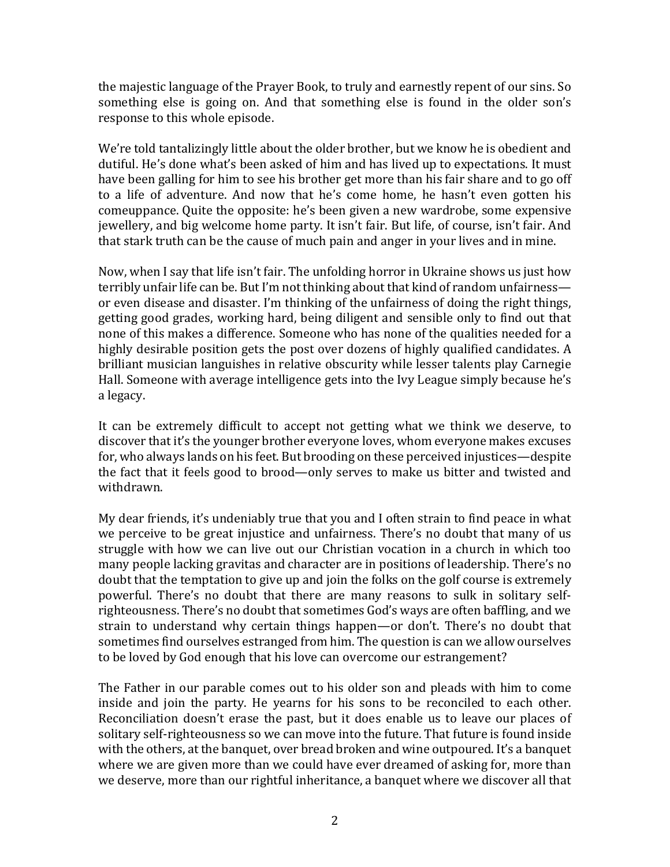the majestic language of the Prayer Book, to truly and earnestly repent of our sins. So something else is going on. And that something else is found in the older son's response to this whole episode.

We're told tantalizingly little about the older brother, but we know he is obedient and dutiful. He's done what's been asked of him and has lived up to expectations. It must have been galling for him to see his brother get more than his fair share and to go off to a life of adventure. And now that he's come home, he hasn't even gotten his comeuppance. Quite the opposite: he's been given a new wardrobe, some expensive jewellery, and big welcome home party. It isn't fair. But life, of course, isn't fair. And that stark truth can be the cause of much pain and anger in your lives and in mine.

Now, when I say that life isn't fair. The unfolding horror in Ukraine shows us just how terribly unfair life can be. But I'm not thinking about that kind of random unfairness or even disease and disaster. I'm thinking of the unfairness of doing the right things, getting good grades, working hard, being diligent and sensible only to find out that none of this makes a difference. Someone who has none of the qualities needed for a highly desirable position gets the post over dozens of highly qualified candidates. A brilliant musician languishes in relative obscurity while lesser talents play Carnegie Hall. Someone with average intelligence gets into the Ivy League simply because he's a legacy.

It can be extremely difficult to accept not getting what we think we deserve, to discover that it's the younger brother everyone loves, whom everyone makes excuses for, who always lands on his feet. But brooding on these perceived injustices—despite the fact that it feels good to brood—only serves to make us bitter and twisted and withdrawn.

My dear friends, it's undeniably true that you and I often strain to find peace in what we perceive to be great injustice and unfairness. There's no doubt that many of us struggle with how we can live out our Christian vocation in a church in which too many people lacking gravitas and character are in positions of leadership. There's no doubt that the temptation to give up and join the folks on the golf course is extremely powerful. There's no doubt that there are many reasons to sulk in solitary selfrighteousness. There's no doubt that sometimes God's ways are often baffling, and we strain to understand why certain things happen—or don't. There's no doubt that sometimes find ourselves estranged from him. The question is can we allow ourselves to be loved by God enough that his love can overcome our estrangement?

The Father in our parable comes out to his older son and pleads with him to come inside and join the party. He yearns for his sons to be reconciled to each other. Reconciliation doesn't erase the past, but it does enable us to leave our places of solitary self-righteousness so we can move into the future. That future is found inside with the others, at the banquet, over bread broken and wine outpoured. It's a banquet where we are given more than we could have ever dreamed of asking for, more than we deserve, more than our rightful inheritance, a banquet where we discover all that